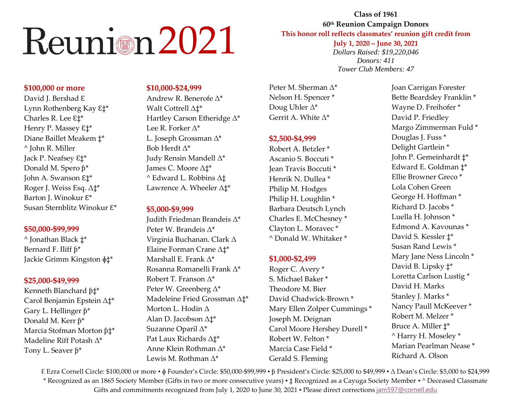**Class of 1961 60 th Reunion Campaign Donors This honor roll reflects classmates' reunion gift credit from July 1, 2020 – June 30, 2021** *Dollars Raised: \$19,220,046 Donors: 411 Tower Club Members: 47*

### **\$100,000 or more**

David J. Bershad ε Lynn Rothenberg Kay  $E^*$ Charles R. Lee ε<sup>†\*</sup> Henry P. Massey ε<sup>†\*</sup> Diane Baillet Meakem ‡\* ^ John R. Miller Jack P. Neafsey  $E_1^*$ Donald M. Spero  $\hat{p}^*$ John A. Swanson Ɛ‡\* Roger J. Weiss Esq. Δ‡\* Barton J. Winokur  $E^*$ Susan Sternblitz Winokur Ɛ\*

#### **\$50,000-\$99,999**

^ Jonathan Black ‡\* Bernard F. Iliff  $6*$ Jackie Grimm Kingston ɸ‡\*

## **\$25,000-\$49,999**

Kenneth Blanchard  $\beta$ <sup>\*</sup> Carol Benjamin Epstein Δ‡\* Gary L. Hellinger  $\beta^*$ Donald M. Kerr  $\mathfrak{h}^*$ Marcia Stofman Morton  $f_1^*$ Madeline Riff Potash Δ\* Tony L. Seaver  $\mathfrak{h}^*$ 

#### **\$10,000-\$24,999**

Andrew R. Benerofe Δ\* Walt Cottrell Δ‡\* Hartley Carson Etheridge Δ\* Lee R. Forker Δ\* L. Joseph Grossman Δ\* Bob Herdt Δ\* Judy Rensin Mandell Δ\* James C. Moore Δ‡\* ^ Edward L. Robbins Δ‡ Lawrence A. Wheeler Δ‡\*

#### **\$5,000-\$9,999**

Judith Friedman Brandeis Δ\* Peter W. Brandeis Δ\* Virginia Buchanan. Clark Δ Elaine Forman Crane Δ‡\* Marshall E. Frank Δ\* Rosanna Romanelli Frank Δ\* Robert T. Franson Δ\* Peter W. Greenberg Δ\* Madeleine Fried Grossman Δ‡\* Morton L. Hodin Δ Alan D. Jacobson Δ‡\* Suzanne Oparil Δ\* Pat Laux Richards Δ‡\* Anne Klein Rothman Δ\* Lewis M. Rothman Δ\*

Peter M. Sherman Δ\* Nelson H. Spencer \* Doug Uhler Δ\* Gerrit A. White Δ\*

## **\$2,500-\$4,999**

Robert A. Betzler \* Ascanio S. Boccuti \* Jean Travis Boccuti \* Henrik N. Dullea \* Philip M. Hodges Philip H. Loughlin \* Barbara Deutsch Lynch Charles E. McChesney \* Clayton L. Moravec \* ^ Donald W. Whitaker \*

## **\$1,000-\$2,499**

Roger C. Avery \* S. Michael Baker \* Theodore M. Bier David Chadwick-Brown \* Mary Ellen Zolper Cummings \* Joseph M. Deignan Carol Moore Hershey Durell \* Robert W. Felton \* Marcia Case Field \* Gerald S. Fleming

Joan Carrigan Forester Bette Beardsley Franklin \* Wayne D. Freihofer \* David P. Friedley Margo Zimmerman Fuld \* Douglas J. Fuss \* Delight Gartlein \* John P. Gemeinhardt ‡\* Edward E. Goldman ‡\* Ellie Browner Greco \* Lola Cohen Green George H. Hoffman \* Richard D. Jacobs \* Luella H. Johnson \* Edmond A. Kavounas \* David S. Kessler ‡\* Susan Rand Lewis \* Mary Jane Ness Lincoln \* David B. Lipsky ‡\* Loretta Carlson Lustig \* David H. Marks Stanley J. Marks \* Nancy Paull McKeever \* Robert M. Melzer \* Bruce A. Miller ‡\* ^ Harry H. Moseley \* Marian Pearlman Nease \* Richard A. Olson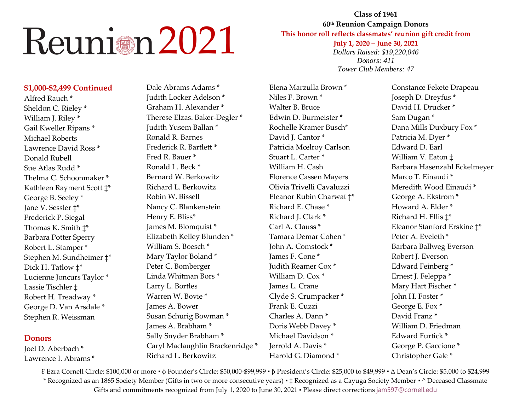## **Class of 1961 60 th Reunion Campaign Donors This honor roll reflects classmates' reunion gift credit from July 1, 2020 – June 30, 2021** *Dollars Raised: \$19,220,046 Donors: 411 Tower Club Members: 47*

### **\$1,000-\$2,499 Continued**

Alfred Rauch \* Sheldon C. Rieley \* William J. Riley \* Gail Kweller Ripans \* Michael Roberts Lawrence David Ross \* Donald Rubell Sue Atlas Rudd \* Thelma C. Schoonmaker \* Kathleen Rayment Scott ‡\* George B. Seeley \* Jane V. Sessler ‡\* Frederick P. Siegal Thomas K. Smith ‡\* Barbara Potter Sperry Robert L. Stamper \* Stephen M. Sundheimer ‡\* Dick H. Tatlow ‡\* Lucienne Joncurs Taylor \* Lassie Tischler ‡ Robert H. Treadway \* George D. Van Arsdale \* Stephen R. Weissman

#### **Donors**

Joel D. Aberbach \* Lawrence I. Abrams \*

Dale Abrams Adams \* Judith Locker Adelson \* Graham H. Alexander \* Therese Elzas. Baker-Degler \* Judith Yusem Ballan \* Ronald R. Barnes Frederick R. Bartlett \* Fred R. Bauer \* Ronald L. Beck \* Bernard W. Berkowitz Richard L. Berkowitz Robin W. Bissell Nancy C. Blankenstein Henry E. Bliss\* James M. Blomquist \* Elizabeth Kelley Blunden \* William S. Boesch \* Mary Taylor Boland \* Peter C. Bomberger Linda Whitman Bors \* Larry L. Bortles Warren W. Bovie \* James A. Bower Susan Schurig Bowman \* James A. Brabham \* Sally Snyder Brabham \* Caryl Maclaughlin Brackenridge \* Richard L. Berkowitz

Elena Marzulla Brown \* Niles F. Brown \* Walter B. Bruce Edwin D. Burmeister \* Rochelle Kramer Busch\* David I. Cantor \* Patricia Mcelroy Carlson Stuart L. Carter \* William H. Cash Florence Cassen Mayers Olivia Trivelli Cavaluzzi Eleanor Rubin Charwat ‡\* Richard E. Chase \* Richard J. Clark \* Carl A. Clauss<sup>\*</sup> Tamara Demar Cohen \* John A. Comstock \* James F. Cone \* Judith Reamer Cox \* William  $D$  Cox<sup>\*</sup> James L. Crane Clyde S. Crumpacker \* Frank E. Cuzzi Charles A. Dann \* Doris Webb Davey \* Michael Davidson \* Jerrold A. Davis \* Harold G. Diamond \*

Constance Fekete Drapeau Joseph D. Dreyfus \* David H. Drucker \* Sam Dugan \* Dana Mills Duxbury Fox \* Patricia M. Dyer \* Edward D. Earl William V. Eaton ‡ Barbara Hasenzahl Eckelmeyer Marco T. Einaudi \* Meredith Wood Einaudi \* George A. Ekstrom \* Howard A. Elder \* Richard H. Ellis ‡\* Eleanor Stanford Erskine ‡\* Peter A. Eveleth \* Barbara Ballweg Everson Robert J. Everson Edward Feinberg \* Ernest J. Feleppa \* Mary Hart Fischer \* John H. Foster \* George E. Fox \* David Franz \* William D. Friedman Edward Furtick \* George P. Gaccione \* Christopher Gale \*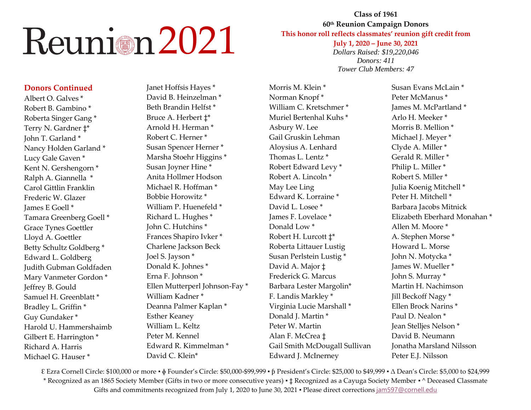#### **Donors Continued**

Albert O. Galves \* Robert B. Gambino \* Roberta Singer Gang \* Terry N. Gardner ‡\* John T. Garland \* Nancy Holden Garland \* Lucy Gale Gaven \* Kent N. Gershengorn \* Ralph A. Giannella \* Carol Gittlin Franklin Frederic W. Glazer James E Goell \* Tamara Greenberg Goell \* Grace Tynes Goettler Lloyd A. Goettler Betty Schultz Goldberg \* Edward L. Goldberg Judith Gubman Goldfaden Mary Vanmeter Gordon \* Jeffrey B. Gould Samuel H. Greenblatt \* Bradley L. Griffin \* Guy Gundaker \* Harold U. Hammershaimb Gilbert E. Harrington \* Richard A. Harris Michael G. Hauser \*

Janet Hoffsis Hayes \* David B. Heinzelman \* Beth Brandin Helfst \* Bruce A. Herbert ‡\* Arnold H. Herman \* Robert C. Herner \* Susan Spencer Herner \* Marsha Stoehr Higgins \* Susan Joyner Hine \* Anita Hollmer Hodson Michael R. Hoffman \* Bobbie Horowitz \* William P. Huenefeld \* Richard L. Hughes \* John C. Hutchins \* Frances Shapiro Ivker \* Charlene Jackson Beck Joel S. Jayson \* Donald K. Johnes \* Erna F. Johnson \* Ellen Mutterperl Johnson-Fay \* William Kadner \* Deanna Palmer Kaplan \* Esther Keaney William L. Keltz Peter M. Kennel Edward R. Kimmelman \* David C. Klein\*

Morris M. Klein \* Norman Knopf \* William C. Kretschmer \* Muriel Bertenhal Kuhs \* Asbury W. Lee Gail Gruskin Lehman Aloysius A. Lenhard Thomas L. Lentz \* Robert Edward Levy \* Robert A. Lincoln \* May Lee Ling Edward K. Lorraine \* David L. Losee \* James F. Lovelace \* Donald Low \* Robert H. Lurcott ‡\* Roberta Littauer Lustig Susan Perlstein Lustig \* David A. Major ‡ Frederick G. Marcus Barbara Lester Margolin\* F. Landis Markley \* Virginia Lucie Marshall \* Donald J. Martin \* Peter W. Martin Alan F. McCrea ‡ Gail Smith McDougall Sullivan Edward J. McInerney

**Class of 1961 60 th Reunion Campaign Donors This honor roll reflects classmates' reunion gift credit from July 1, 2020 – June 30, 2021** *Dollars Raised: \$19,220,046 Donors: 411 Tower Club Members: 47*

> Susan Evans McLain \* Peter McManus \* James M. McPartland \* Arlo H. Meeker \* Morris B. Mellion \* Michael J. Meyer \* Clyde A. Miller \* Gerald R. Miller \* Philip L. Miller \* Robert S. Miller \* Julia Koenig Mitchell \* Peter H. Mitchell \* Barbara Jacobs Mitnick Elizabeth Eberhard Monahan \* Allen M. Moore \* A. Stephen Morse \* Howard L. Morse John N. Motycka \* James W. Mueller \* John S. Murray \* Martin H. Nachimson Jill Beckoff Nagy \* Ellen Brock Narins \* Paul D. Nealon \* Jean Stelljes Nelson \* David B. Neumann Jonatha Marsland Nilsson Peter E.J. Nilsson